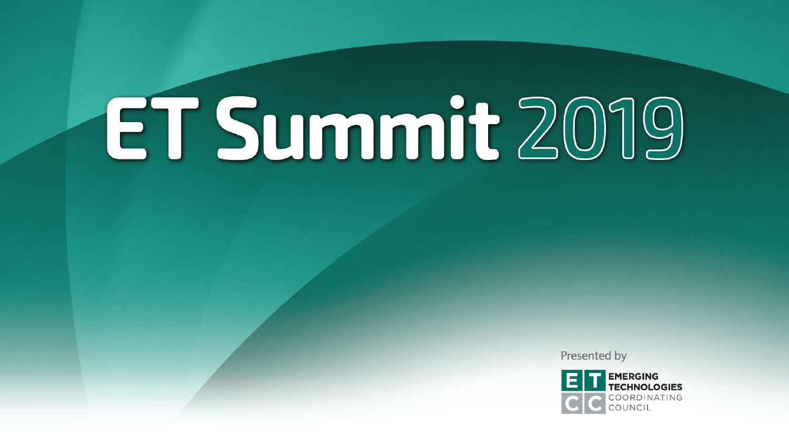# ET Summit 2019

Presented by

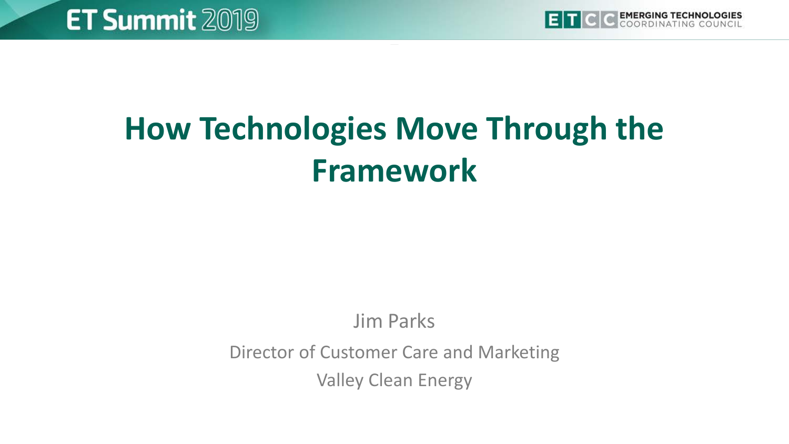

## **How Technologies Move Through the Framework**

#### Jim Parks

Director of Customer Care and Marketing

Valley Clean Energy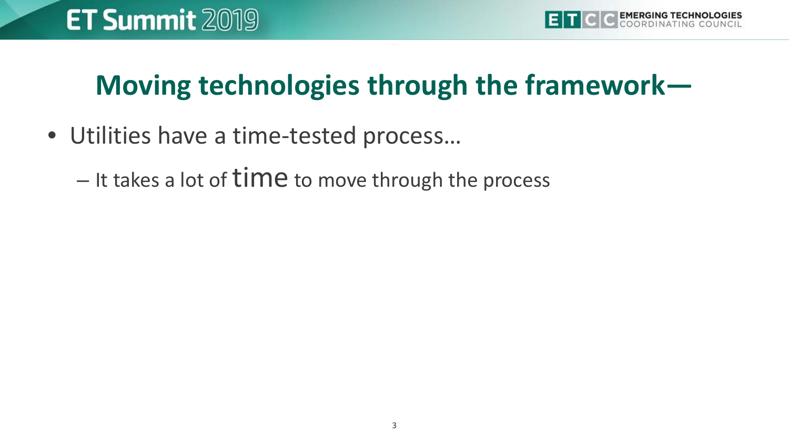#### **Moving technologies through the framework—**

- Utilities have a time-tested process…
	- It takes a lot of  $time$  to move through the process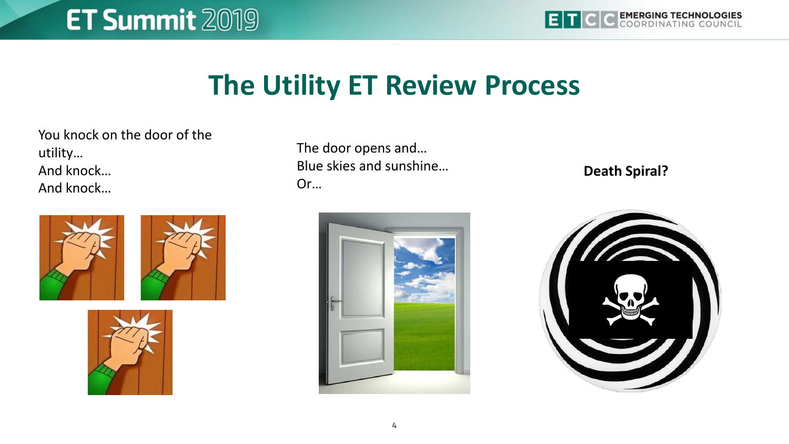## **ET Summit 2019**

## **The Utility ET Review Process**

You knock on the door of the utility… And knock… And knock…





The door opens and… Blue skies and sunshine… Or…



**Death Spiral?**

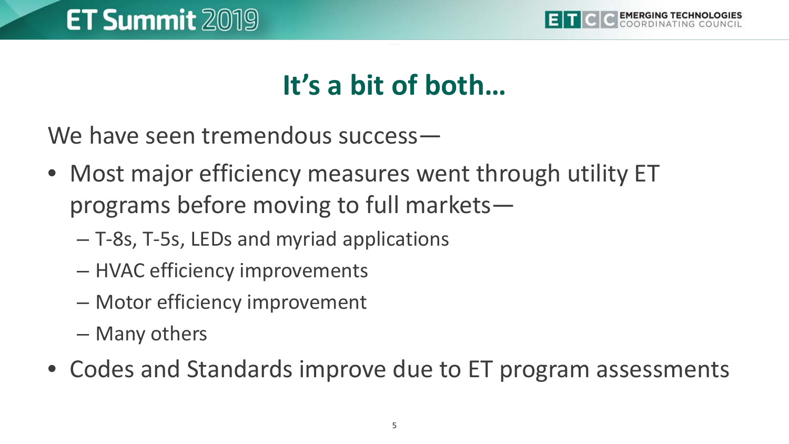

#### **It's a bit of both…**

We have seen tremendous success—

- Most major efficiency measures went through utility ET programs before moving to full markets—
	- T-8s, T-5s, LEDs and myriad applications
	- HVAC efficiency improvements
	- Motor efficiency improvement
	- Many others
- Codes and Standards improve due to ET program assessments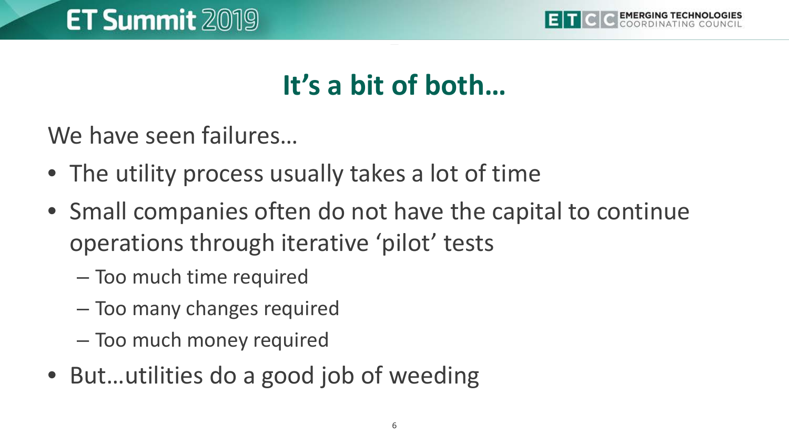

#### **It's a bit of both…**

We have seen failures…

- The utility process usually takes a lot of time
- Small companies often do not have the capital to continue operations through iterative 'pilot' tests
	- Too much time required
	- Too many changes required
	- Too much money required
- But…utilities do a good job of weeding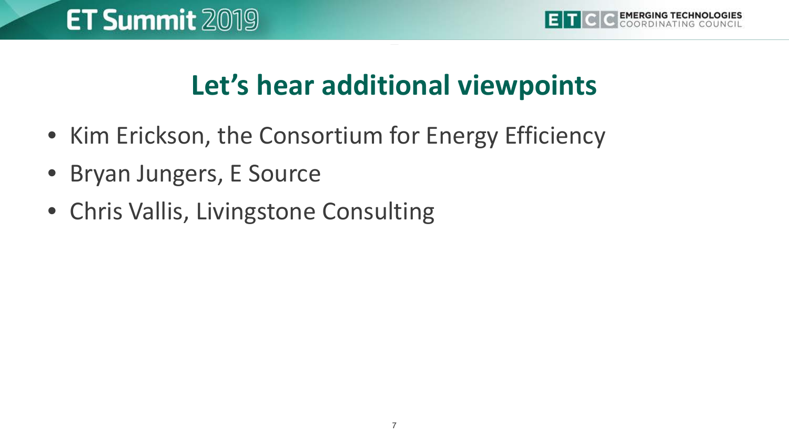#### **Let's hear additional viewpoints**

- Kim Erickson, the Consortium for Energy Efficiency
- Bryan Jungers, E Source
- Chris Vallis, Livingstone Consulting